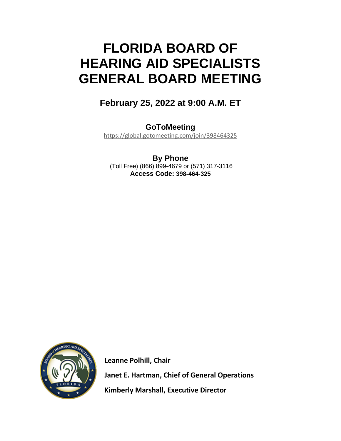# **FLORIDA BOARD OF HEARING AID SPECIALISTS GENERAL BOARD MEETING**

## **February 25, 2022 at 9:00 A.M. ET**

**GoToMeeting**  <https://global.gotomeeting.com/join/398464325>

**By Phone** (Toll Free) (866) 899-4679 or (571) 317-3116 **Access Code: 398-464-325**



 **Leanne Polhill, Chair Janet E. Hartman, Chief of General Operations Kimberly Marshall, Executive Director**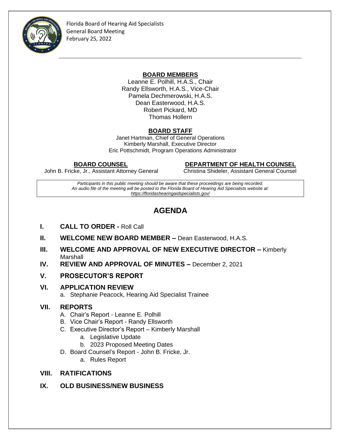

Florida Board of Hearing Aid Specialists General Board Meeting February 25, 2022

### **BOARD MEMBERS**

Leanne E. Polhill, H.A.S., Chair Randy Ellsworth, H.A.S., Vice-Chair Pamela Dechmerowski, H.A.S. Dean Easterwood, H.A.S. Robert Pickard, MD Thomas Hollern

## **BOARD STAFF**

Janet Hartman, Chief of General Operations Kimberly Marshall, Executive Director Eric Pottschmidt, Program Operations Administrator

 **BOARD COUNSEL DEPARTMENT OF HEALTH COUNSEL**

John B. Fricke, Jr., Assistant Attorney General Christina Shideler, Assistant General Counsel

*Participants in this public meeting should be aware that these proceedings are being recorded. An audio file of the meeting will be posted to the Florida Board of Hearing Aid Specialists website at: <https://floridashearingaidspecialists.gov/>*

## **AGENDA**

- **I. CALL TO ORDER -** Roll Call
- **II. WELCOME NEW BOARD MEMBER –** Dean Easterwood, H.A.S.
- **III. WELCOME AND APPROVAL OF NEW EXECUTIVE DIRECTOR Kimberly** Marshall
- **IV. REVIEW AND APPROVAL OF MINUTES –** December 2, 2021

## **V. PROSECUTOR'S REPORT**

#### **VI. APPLICATION REVIEW**

a. Stephanie Peacock, Hearing Aid Specialist Trainee

## **VII. REPORTS**

- A. Chair's Report Leanne E. Polhill
- B. Vice Chair's Report Randy Ellsworth
- C. Executive Director's Report Kimberly Marshall
	- a. Legislative Update
	- b. 2023 Proposed Meeting Dates
- D. Board Counsel's Report John B. Fricke, Jr.
	- a. Rules Report

## **VIII. RATIFICATIONS**

**IX. OLD BUSINESS/NEW BUSINESS**